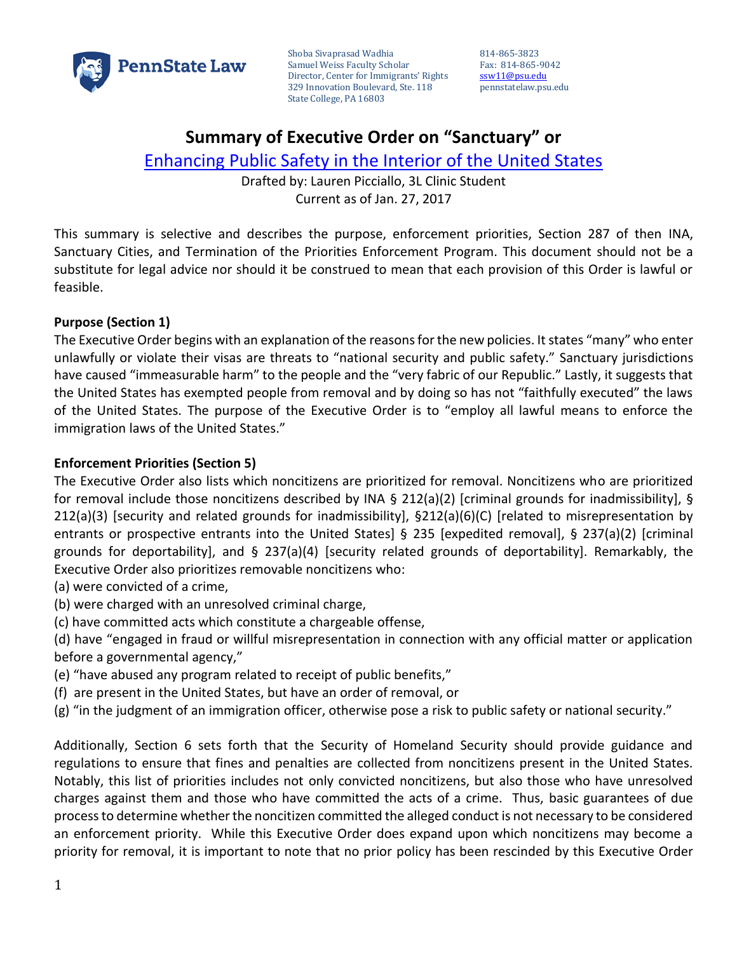

Shoba Sivaprasad Wadhia Samuel Weiss Faculty Scholar Director, Center for Immigrants' Rights 329 Innovation Boulevard, Ste. 118 State College, PA 16803

814-865-3823 Fax: 814-865-9042 [ssw11@psu.edu](mailto:ssw11@psu.edu) pennstatelaw.psu.edu

# **Summary of Executive Order on "Sanctuary" or**

[Enhancing Public Safety in the Interior of the United States](https://www.whitehouse.gov/the-press-office/2017/01/25/presidential-executive-order-enhancing-public-safety-interior-united)

Drafted by: Lauren Picciallo, 3L Clinic Student Current as of Jan. 27, 2017

This summary is selective and describes the purpose, enforcement priorities, Section 287 of then INA, Sanctuary Cities, and Termination of the Priorities Enforcement Program. This document should not be a substitute for legal advice nor should it be construed to mean that each provision of this Order is lawful or feasible.

#### **Purpose (Section 1)**

The Executive Order begins with an explanation of the reasons for the new policies. It states "many" who enter unlawfully or violate their visas are threats to "national security and public safety." Sanctuary jurisdictions have caused "immeasurable harm" to the people and the "very fabric of our Republic." Lastly, it suggests that the United States has exempted people from removal and by doing so has not "faithfully executed" the laws of the United States. The purpose of the Executive Order is to "employ all lawful means to enforce the immigration laws of the United States."

### **Enforcement Priorities (Section 5)**

The Executive Order also lists which noncitizens are prioritized for removal. Noncitizens who are prioritized for removal include those noncitizens described by INA § 212(a)(2) [criminal grounds for inadmissibility], § 212(a)(3) [security and related grounds for inadmissibility], §212(a)(6)(C) [related to misrepresentation by entrants or prospective entrants into the United States] § 235 [expedited removal], § 237(a)(2) [criminal grounds for deportability], and § 237(a)(4) [security related grounds of deportability]. Remarkably, the Executive Order also prioritizes removable noncitizens who:

(a) were convicted of a crime,

- (b) were charged with an unresolved criminal charge,
- (c) have committed acts which constitute a chargeable offense,
- (d) have "engaged in fraud or willful misrepresentation in connection with any official matter or application before a governmental agency,"
- (e) "have abused any program related to receipt of public benefits,"
- (f) are present in the United States, but have an order of removal, or
- (g) "in the judgment of an immigration officer, otherwise pose a risk to public safety or national security."

Additionally, Section 6 sets forth that the Security of Homeland Security should provide guidance and regulations to ensure that fines and penalties are collected from noncitizens present in the United States. Notably, this list of priorities includes not only convicted noncitizens, but also those who have unresolved charges against them and those who have committed the acts of a crime. Thus, basic guarantees of due process to determine whether the noncitizen committed the alleged conduct is not necessary to be considered an enforcement priority. While this Executive Order does expand upon which noncitizens may become a priority for removal, it is important to note that no prior policy has been rescinded by this Executive Order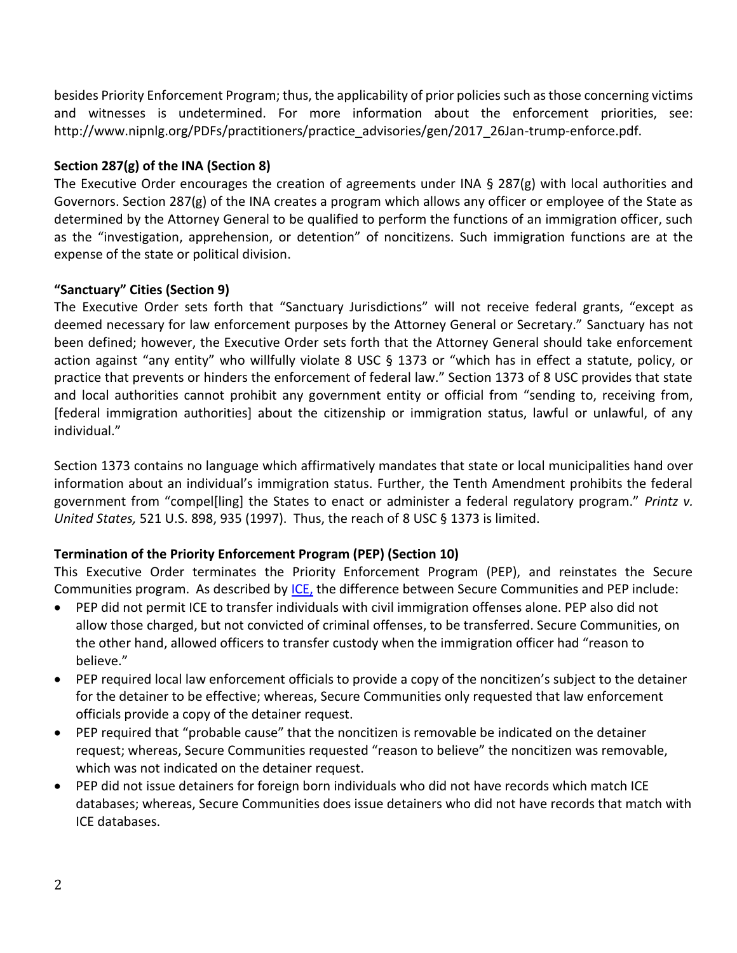besides Priority Enforcement Program; thus, the applicability of prior policies such as those concerning victims and witnesses is undetermined. For more information about the enforcement priorities, see: http://www.nipnlg.org/PDFs/practitioners/practice\_advisories/gen/2017\_26Jan-trump-enforce.pdf.

### **Section 287(g) of the INA (Section 8)**

The Executive Order encourages the creation of agreements under INA  $\S$  287(g) with local authorities and Governors. Section 287(g) of the INA creates a program which allows any officer or employee of the State as determined by the Attorney General to be qualified to perform the functions of an immigration officer, such as the "investigation, apprehension, or detention" of noncitizens. Such immigration functions are at the expense of the state or political division.

### **"Sanctuary" Cities (Section 9)**

The Executive Order sets forth that "Sanctuary Jurisdictions" will not receive federal grants, "except as deemed necessary for law enforcement purposes by the Attorney General or Secretary." Sanctuary has not been defined; however, the Executive Order sets forth that the Attorney General should take enforcement action against "any entity" who willfully violate 8 USC § 1373 or "which has in effect a statute, policy, or practice that prevents or hinders the enforcement of federal law." Section 1373 of 8 USC provides that state and local authorities cannot prohibit any government entity or official from "sending to, receiving from, [federal immigration authorities] about the citizenship or immigration status, lawful or unlawful, of any individual."

Section 1373 contains no language which affirmatively mandates that state or local municipalities hand over information about an individual's immigration status. Further, the Tenth Amendment prohibits the federal government from "compel[ling] the States to enact or administer a federal regulatory program." *Printz v. United States,* 521 U.S. 898, 935 (1997). Thus, the reach of 8 USC § 1373 is limited.

## **Termination of the Priority Enforcement Program (PEP) (Section 10)**

This Executive Order terminates the Priority Enforcement Program (PEP), and reinstates the Secure Communities program. As described by [ICE,](https://www.ice.gov/sites/default/files/documents/Fact%20sheet/2015/pep_brochure.pdf%20(last%20visited%20on%20January%2026,%202017).) the difference between Secure Communities and PEP include:

- PEP did not permit ICE to transfer individuals with civil immigration offenses alone. PEP also did not allow those charged, but not convicted of criminal offenses, to be transferred. Secure Communities, on the other hand, allowed officers to transfer custody when the immigration officer had "reason to believe."
- PEP required local law enforcement officials to provide a copy of the noncitizen's subject to the detainer for the detainer to be effective; whereas, Secure Communities only requested that law enforcement officials provide a copy of the detainer request.
- PEP required that "probable cause" that the noncitizen is removable be indicated on the detainer request; whereas, Secure Communities requested "reason to believe" the noncitizen was removable, which was not indicated on the detainer request.
- PEP did not issue detainers for foreign born individuals who did not have records which match ICE databases; whereas, Secure Communities does issue detainers who did not have records that match with ICE databases.